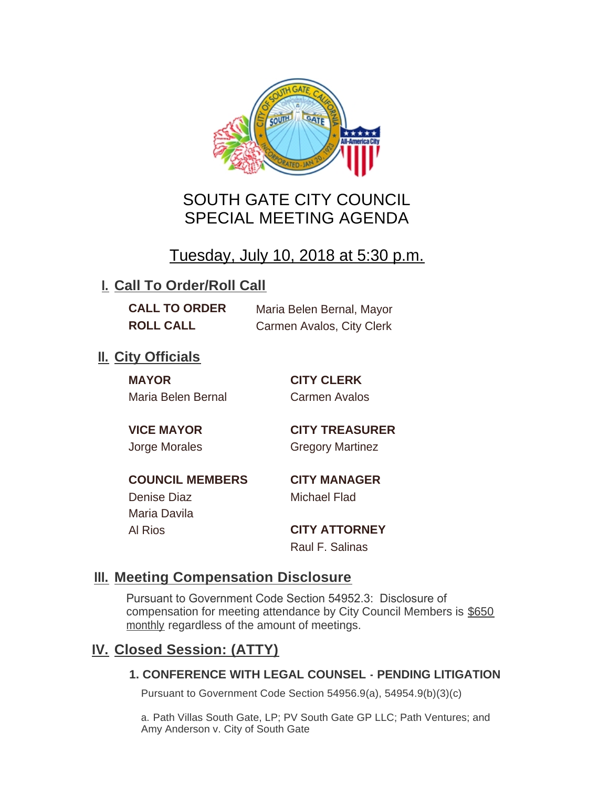

# SOUTH GATE CITY COUNCIL SPECIAL MEETING AGENDA

Tuesday, July 10, 2018 at 5:30 p.m.

## **I. Call To Order/Roll Call**

**CALL TO ORDER** Maria Belen Bernal, Mayor **ROLL CALL** Carmen Avalos, City Clerk

### **II.** City Officials

**MAYOR CITY CLERK** Maria Belen Bernal Carmen Avalos

**VICE MAYOR CITY TREASURER** Jorge Morales Gregory Martinez

**COUNCIL MEMBERS CITY MANAGER** Denise Diaz Michael Flad

Maria Davila Al Rios **CITY ATTORNEY**

Raul F. Salinas

### **Meeting Compensation Disclosure III.**

Pursuant to Government Code Section 54952.3: Disclosure of compensation for meeting attendance by City Council Members is \$650 monthly regardless of the amount of meetings.

### **Closed Session: (ATTY) IV.**

#### **1. CONFERENCE WITH LEGAL COUNSEL - PENDING LITIGATION**

Pursuant to Government Code Section 54956.9(a), 54954.9(b)(3)(c)

a. Path Villas South Gate, LP; PV South Gate GP LLC; Path Ventures; and Amy Anderson v. City of South Gate